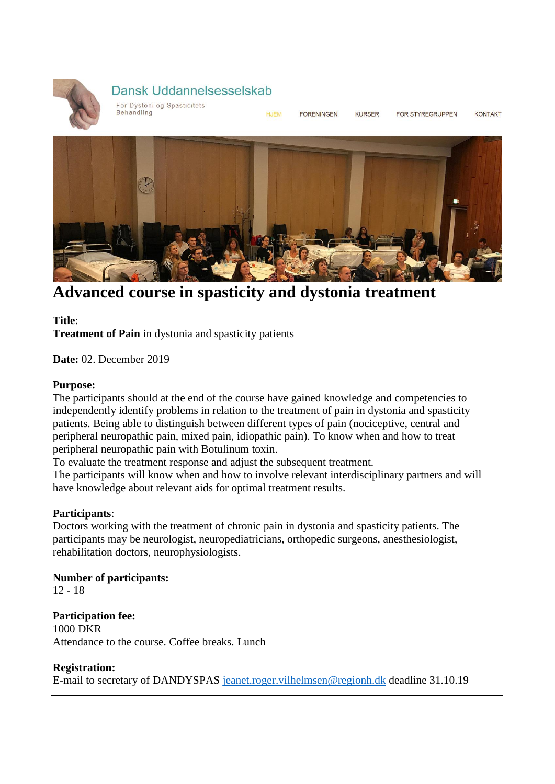

# Dansk Uddannelsesselskab

For Dystoni og Spasticitets Behandling

**HJFM EORENINGEN** 

KURSER

FOR STYREGRUPPEN

KONTAKT



**Advanced course in spasticity and dystonia treatment**

**Title**:

**Treatment of Pain** in dystonia and spasticity patients

**Date:** 02. December 2019

### **Purpose:**

The participants should at the end of the course have gained knowledge and competencies to independently identify problems in relation to the treatment of pain in dystonia and spasticity patients. Being able to distinguish between different types of pain (nociceptive, central and peripheral neuropathic pain, mixed pain, idiopathic pain). To know when and how to treat peripheral neuropathic pain with Botulinum toxin.

To evaluate the treatment response and adjust the subsequent treatment.

The participants will know when and how to involve relevant interdisciplinary partners and will have knowledge about relevant aids for optimal treatment results.

## **Participants**:

Doctors working with the treatment of chronic pain in dystonia and spasticity patients. The participants may be neurologist, neuropediatricians, orthopedic surgeons, anesthesiologist, rehabilitation doctors, neurophysiologists.

**Number of participants:** 12 - 18

**Participation fee:** 1000 DKR Attendance to the course. Coffee breaks. Lunch

## **Registration:**

E-mail to secretary of DANDYSPAS [jeanet.roger.vilhelmsen@regionh.dk](mailto:jeanet.roger.vilhelmsen@regionh.dk) deadline 31.10.19